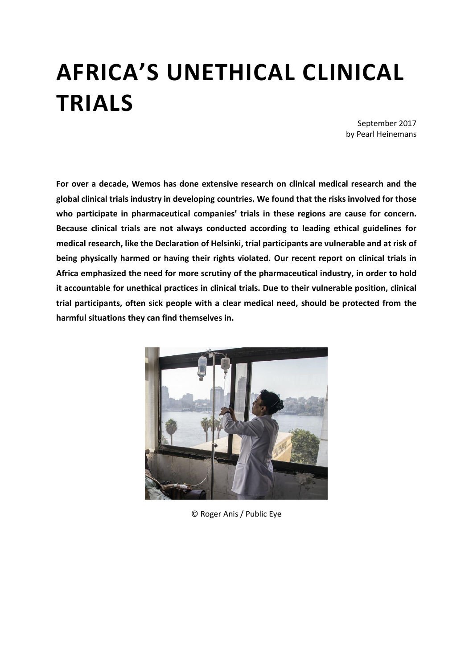## **AFRICA'S UNETHICAL CLINICAL TRIALS**

September 2017 by Pearl Heinemans

**For over a decade, Wemos has done extensive research on clinical medical research and the global clinical trials industry in developing countries. We found that the risks involved for those who participate in pharmaceutical companies' trials in these regions are cause for concern. Because clinical trials are not always conducted according to leading ethical guidelines for medical research, like the Declaration of Helsinki, trial participants are vulnerable and at risk of being physically harmed or having their rights violated. Our recent report on clinical trials in Africa emphasized the need for more scrutiny of the pharmaceutical industry, in order to hold it accountable for unethical practices in clinical trials. Due to their vulnerable position, clinical trial participants, often sick people with a clear medical need, should be protected from the harmful situations they can find themselves in.** 



© Roger Anis / Public Eye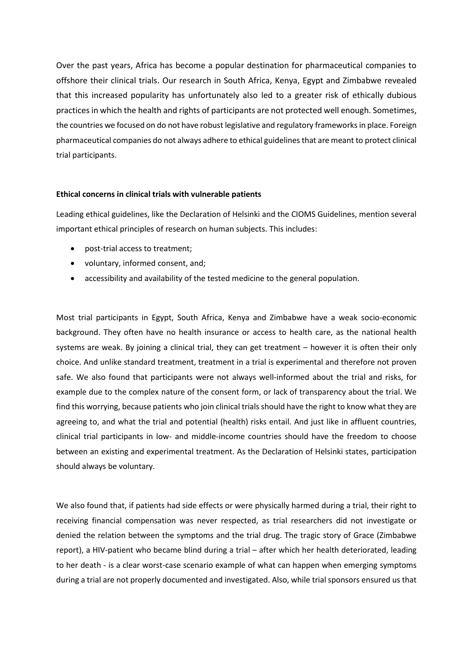Over the past years, Africa has become a popular destination for pharmaceutical companies to offshore their clinical trials. Our research in South Africa, Kenya, Egypt and Zimbabwe revealed that this increased popularity has unfortunately also led to a greater risk of ethically dubious practicesin which the health and rights of participants are not protected well enough. Sometimes, the countries we focused on do not have robust legislative and regulatory frameworks in place. Foreign pharmaceutical companies do not always adhere to ethical guidelines that are meant to protect clinical trial participants.

## **Ethical concerns in clinical trials with vulnerable patients**

Leading ethical guidelines, like the Declaration of Helsinki and the CIOMS Guidelines, mention several important ethical principles of research on human subjects. This includes:

- post-trial access to treatment;
- voluntary, informed consent, and;
- accessibility and availability of the tested medicine to the general population.

Most trial participants in Egypt, South Africa, Kenya and Zimbabwe have a weak socio-economic background. They often have no health insurance or access to health care, as the national health systems are weak. By joining a clinical trial, they can get treatment – however it is often their only choice. And unlike standard treatment, treatment in a trial is experimental and therefore not proven safe. We also found that participants were not always well-informed about the trial and risks, for example due to the complex nature of the consent form, or lack of transparency about the trial. We find this worrying, because patients who join clinical trials should have the right to know what they are agreeing to, and what the trial and potential (health) risks entail. And just like in affluent countries, clinical trial participants in low- and middle-income countries should have the freedom to choose between an existing and experimental treatment. As the Declaration of Helsinki states, participation should always be voluntary.

We also found that, if patients had side effects or were physically harmed during a trial, their right to receiving financial compensation was never respected, as trial researchers did not investigate or denied the relation between the symptoms and the trial drug. The tragic story of Grace (Zimbabwe report), a HIV-patient who became blind during a trial – after which her health deteriorated, leading to her death - is a clear worst-case scenario example of what can happen when emerging symptoms during a trial are not properly documented and investigated. Also, while trial sponsors ensured us that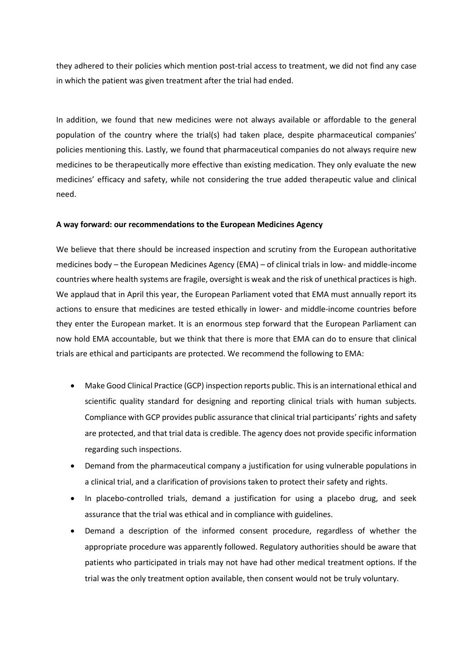they adhered to their policies which mention post-trial access to treatment, we did not find any case in which the patient was given treatment after the trial had ended.

In addition, we found that new medicines were not always available or affordable to the general population of the country where the trial(s) had taken place, despite pharmaceutical companies' policies mentioning this. Lastly, we found that pharmaceutical companies do not always require new medicines to be therapeutically more effective than existing medication. They only evaluate the new medicines' efficacy and safety, while not considering the true added therapeutic value and clinical need.

## **A way forward: our recommendations to the European Medicines Agency**

We believe that there should be increased inspection and scrutiny from the European authoritative medicines body – the European Medicines Agency (EMA) – of clinical trials in low- and middle-income countries where health systems are fragile, oversight is weak and the risk of unethical practices is high. We applaud that in April this year, the European Parliament voted that EMA must annually report its actions to ensure that medicines are tested ethically in lower- and middle-income countries before they enter the European market. It is an enormous step forward that the European Parliament can now hold EMA accountable, but we think that there is more that EMA can do to ensure that clinical trials are ethical and participants are protected. We recommend the following to EMA:

- Make Good Clinical Practice (GCP) inspection reports public. This is an international ethical and scientific quality standard for designing and reporting clinical trials with human subjects. Compliance with GCP provides public assurance that clinical trial participants' rights and safety are protected, and that trial data is credible. The agency does not provide specific information regarding such inspections.
- Demand from the pharmaceutical company a justification for using vulnerable populations in a clinical trial, and a clarification of provisions taken to protect their safety and rights.
- In placebo-controlled trials, demand a justification for using a placebo drug, and seek assurance that the trial was ethical and in compliance with guidelines.
- Demand a description of the informed consent procedure, regardless of whether the appropriate procedure was apparently followed. Regulatory authorities should be aware that patients who participated in trials may not have had other medical treatment options. If the trial was the only treatment option available, then consent would not be truly voluntary.